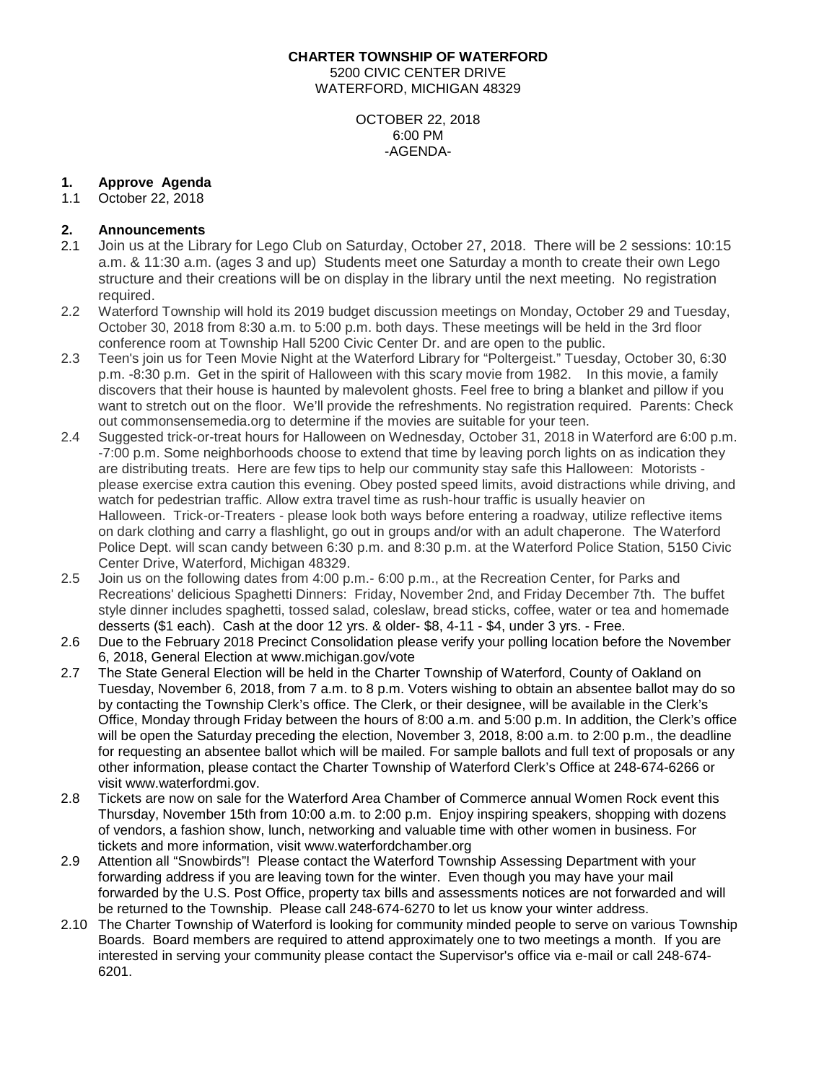#### **CHARTER TOWNSHIP OF WATERFORD**

5200 CIVIC CENTER DRIVE WATERFORD, MICHIGAN 48329

> OCTOBER 22, 2018 6:00 PM -AGENDA-

# **1. Approve Agenda**

## 1.1 October 22, 2018

# **2. Announcements**

- 2.1 Join us at the Library for Lego Club on Saturday, October 27, 2018. There will be 2 sessions: 10:15 a.m. & 11:30 a.m. (ages 3 and up) Students meet one Saturday a month to create their own Lego structure and their creations will be on display in the library until the next meeting. No registration required.
- 2.2 Waterford Township will hold its 2019 budget discussion meetings on Monday, October 29 and Tuesday, October 30, 2018 from 8:30 a.m. to 5:00 p.m. both days. These meetings will be held in the 3rd floor conference room at Township Hall 5200 Civic Center Dr. and are open to the public.
- 2.3 Teen's join us for Teen Movie Night at the Waterford Library for "Poltergeist." Tuesday, October 30, 6:30 p.m. -8:30 p.m. Get in the spirit of Halloween with this scary movie from 1982. In this movie, a family discovers that their house is haunted by malevolent ghosts. Feel free to bring a blanket and pillow if you want to stretch out on the floor. We'll provide the refreshments. No registration required. Parents: Check out commonsensemedia.org to determine if the movies are suitable for your teen.
- 2.4 Suggested trick-or-treat hours for Halloween on Wednesday, October 31, 2018 in Waterford are 6:00 p.m. -7:00 p.m. Some neighborhoods choose to extend that time by leaving porch lights on as indication they are distributing treats. Here are few tips to help our community stay safe this Halloween: Motorists please exercise extra caution this evening. Obey posted speed limits, avoid distractions while driving, and watch for pedestrian traffic. Allow extra travel time as rush-hour traffic is usually heavier on Halloween. Trick-or-Treaters - please look both ways before entering a roadway, utilize reflective items on dark clothing and carry a flashlight, go out in groups and/or with an adult chaperone. The Waterford Police Dept. will scan candy between 6:30 p.m. and 8:30 p.m. at the Waterford Police Station, 5150 Civic Center Drive, Waterford, Michigan 48329.
- 2.5 Join us on the following dates from 4:00 p.m.- 6:00 p.m., at the Recreation Center, for Parks and Recreations' delicious Spaghetti Dinners: Friday, November 2nd, and Friday December 7th. The buffet style dinner includes spaghetti, tossed salad, coleslaw, bread sticks, coffee, water or tea and homemade desserts (\$1 each). Cash at the door 12 yrs. & older- \$8, 4-11 - \$4, under 3 yrs. - Free.
- 2.6 Due to the February 2018 Precinct Consolidation please verify your polling location before the November 6, 2018, General Election at [www.michigan.gov/vote](http://www.michigan.gov/vote)
- 2.7 The State General Election will be held in the Charter Township of Waterford, County of Oakland on Tuesday, November 6, 2018, from 7 a.m. to 8 p.m. Voters wishing to obtain an absentee ballot may do so by contacting the Township Clerk's office. The Clerk, or their designee, will be available in the Clerk's Office, Monday through Friday between the hours of 8:00 a.m. and 5:00 p.m. In addition, the Clerk's office will be open the Saturday preceding the election, November 3, 2018, 8:00 a.m. to 2:00 p.m., the deadline for requesting an absentee ballot which will be mailed. For sample ballots and full text of proposals or any other information, please contact the Charter Township of Waterford Clerk's Office at 248-674-6266 or visit [www.waterfordmi.gov.](http://www.waterfordmi.gov/)
- 2.8 Tickets are now on sale for the Waterford Area Chamber of Commerce annual Women Rock event this Thursday, November 15th from 10:00 a.m. to 2:00 p.m. Enjoy inspiring speakers, shopping with dozens of vendors, a fashion show, lunch, networking and valuable time with other women in business. For tickets and more information, visit www.waterfordchamber.org
- 2.9 Attention all "Snowbirds"! Please contact the Waterford Township Assessing Department with your forwarding address if you are leaving town for the winter. Even though you may have your mail forwarded by the U.S. Post Office, property tax bills and assessments notices are not forwarded and will be returned to the Township. Please call 248-674-6270 to let us know your winter address.
- 2.10 The Charter Township of Waterford is looking for community minded people to serve on various Township Boards. Board members are required to attend approximately one to two meetings a month. If you are interested in serving your community please contact the Supervisor's office via e-mail or call 248-674- 6201.